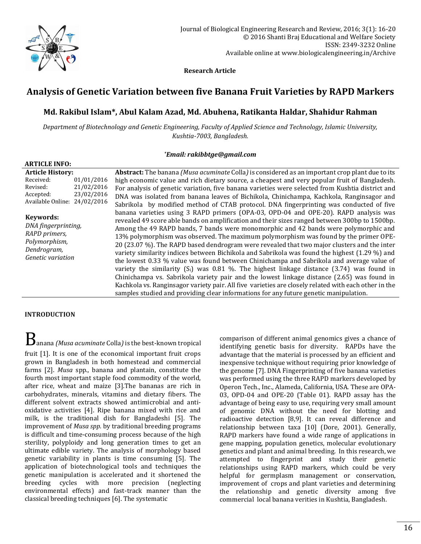

 **Research Article**

# **Analysis of Genetic Variation between five Banana Fruit Varieties by RAPD Markers**

## **Md. Rakibul Islam\*, Abul Kalam Azad, Md. Abuhena, Ratikanta Haldar, Shahidur Rahman**

*Department of Biotechnology and Genetic Engineering, Faculty of Applied Science and Technology, Islamic University, Kushtia-7003, Bangladesh.*

## *\*Email[: rakibbtge@gmail.com](mailto:rakibbtge@gmail.com)*

| <b>ARTICLE INFO:</b>                          |            |                                                                                                               |  |  |  |
|-----------------------------------------------|------------|---------------------------------------------------------------------------------------------------------------|--|--|--|
| <b>Article History:</b>                       |            | <b>Abstract:</b> The banana <i>(Musa acuminate Colla)</i> is considered as an important crop plant due to its |  |  |  |
| Received:                                     | 01/01/2016 | high economic value and rich dietary source, a cheapest and very popular fruit of Bangladesh.                 |  |  |  |
| Revised:                                      | 21/02/2016 | For analysis of genetic variation, five banana varieties were selected from Kushtia district and              |  |  |  |
| Accepted:                                     | 23/02/2016 | DNA was isolated from banana leaves of Bichikola, Chinichampa, Kachkola, Ranginsagor and                      |  |  |  |
| Available Online: 24/02/2016                  |            | Sabrikola by modified method of CTAB protocol. DNA fingerprinting was conducted of five                       |  |  |  |
|                                               |            | banana varieties using 3 RAPD primers (OPA-03, OPD-04 and OPE-20). RAPD analysis was                          |  |  |  |
| Keywords:                                     |            | revealed 49 score able bands on amplification and their sizes ranged between 300bp to 1500bp.                 |  |  |  |
| DNA fingerprinting,                           |            | Among the 49 RAPD bands, 7 bands were monomorphic and 42 bands were polymorphic and                           |  |  |  |
| RAPD primers,<br>Polymorphism,<br>Dendrogram, |            | 13% polymorphism was observed. The maximum polymorphism was found by the primer OPE-                          |  |  |  |
|                                               |            | 20 (23.07 %). The RAPD based dendrogram were revealed that two major clusters and the inter                   |  |  |  |
|                                               |            | variety similarity indices between Bichikola and Sabrikola was found the highest (1.29 %) and                 |  |  |  |
| <i>Genetic variation</i>                      |            | the lowest 0.33 % value was found between Chinichampa and Sabrikola and average value of                      |  |  |  |
|                                               |            | variety the similarity $(S_i)$ was 0.81 %. The highest linkage distance (3.74) was found in                   |  |  |  |
|                                               |            | Chinichampa vs. Sabrikola variety pair and the lowest linkage distance (2.65) was found in                    |  |  |  |
|                                               |            | Kachkola vs. Ranginsagor variety pair. All five varieties are closely related with each other in the          |  |  |  |
|                                               |            | samples studied and providing clear informations for any future genetic manipulation.                         |  |  |  |

## **INTRODUCTION**

 $B$ anana *(Musa acuminate* Colla*)* is the best-known tropical

fruit [1]. It is one of the economical important fruit crops grown in Bangladesh in both homestead and commercial farms [2]. *Musa* spp., banana and plantain, constitute the fourth most important staple food commodity of the world, after rice, wheat and maize [3].The bananas are rich in carbohydrates, minerals, vitamins and dietary fibers. The different solvent extracts showed antimicrobial and antioxidative activities [4]. Ripe banana mixed with rice and milk, is the traditional dish for Bangladeshi [5]. The improvement of *Musa spp.* by traditional breeding programs is difficult and time-consuming process because of the high sterility, polyploidy and long generation times to get an ultimate edible variety. The analysis of morphology based genetic variability in plants is time consuming [5]. The application of biotechnological tools and techniques the genetic manipulation is accelerated and it shortened the breeding cycles with more precision (neglecting environmental effects) and fast-track manner than the classical breeding techniques [6]. The systematic

comparison of different animal genomics gives a chance of identifying genetic basis for diversity. RAPDs have the advantage that the material is processed by an efficient and inexpensive technique without requiring prior knowledge of the genome [7]. DNA Fingerprinting of five banana varieties was performed using the three RAPD markers developed by Operon Tech., Inc., Alameda, California, USA. These are OPA-03, OPD-04 and OPE-20 (Table 01). RAPD assay has the advantage of being easy to use, requiring very small amount of genomic DNA without the need for blotting and radioactive detection [8,9]. It can reveal difference and relationship between taxa [10] (Dore, 2001). Generally, RAPD markers have found a wide range of applications in gene mapping, population genetics, molecular evolutionary genetics and plant and animal breeding. In this research, we attempted to fingerprint and study their genetic relationships using RAPD markers, which could be very helpful for germplasm management or conservation, improvement of crops and plant varieties and determining the relationship and genetic diversity among five commercial local banana verities in Kushtia, Bangladesh.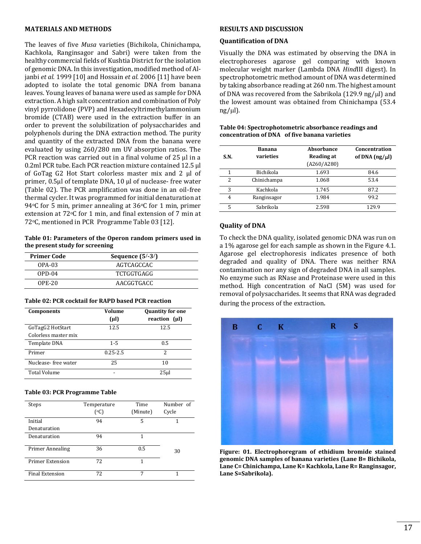#### **MATERIALS AND METHODS**

The leaves of five *Musa* varieties (Bichikola, Chinichampa, Kachkola, Ranginsagor and Sabri) were taken from the healthy commercial fields of Kushtia District for the isolation of genomic DNA. In this investigation, modified method of Aljanbi *et al.* 1999 [10] and Hossain *et al.* 2006 [11] have been adopted to isolate the total genomic DNA from banana leaves. Young leaves of banana were used as sample for DNA extraction. A high salt concentration and combination of Poly vinyl pyrrolidone (PVP) and Hexadecyltrimethylammonium bromide (CTAB) were used in the extraction buffer in an order to prevent the solubilization of polysaccharides and polyphenols during the DNA extraction method. The purity and quantity of the extracted DNA from the banana were evaluated by using 260/280 nm UV absorption ratios. The PCR reaction was carried out in a final volume of 25 μl in a 0.2ml PCR tube. Each PCR reaction mixture contained 12.5 μl of GoTag G2 Hot Start colorless master mix and 2 μl of primer, 0.5µl of template DNA, 10 μl of nuclease- free water (Table 02). The PCR amplification was done in an oil-free thermal cycler. It was programmed for initial denaturation at 94 $\circ$ C for 5 min, primer annealing at 36 $\circ$ C for 1 min, primer extension at 72°C for 1 min, and final extension of 7 min at 72oC, mentioned in PCR Programme Table 03 [12].

**Table 01: Parameters of the Operon random primers used in the present study for screening**

| <b>Primer Code</b> | Sequence $(5/-3/)$ |  |
|--------------------|--------------------|--|
| OPA-03             | AGTCAGCCAC         |  |
| $OPD-04$           | <b>TCTGGTGAGG</b>  |  |
| $OPE-20$           | AACGGTGACC         |  |

#### **Table 02: PCR cocktail for RAPD based PCR reaction**

| <b>Components</b>    | Volume<br>$(\mu l)$ | <b>Quantity for one</b><br>reaction (µl) |
|----------------------|---------------------|------------------------------------------|
| GoTagG2 HotStart     | 12.5                | 12.5                                     |
| Colorless master mix |                     |                                          |
| Template DNA         | $1 - 5$             | 0.5                                      |
| Primer               | $0.25 - 2.5$        | 2                                        |
| Nuclease-free water  | 25                  | 10                                       |
| <b>Total Volume</b>  |                     | 25ul                                     |

#### **Table 03: PCR Programme Table**

| Steps                   | Temperature<br>$({}^{\circ}C)$ | Time<br>(Minute) | Number of<br>Cycle |
|-------------------------|--------------------------------|------------------|--------------------|
| Initial                 | 94                             | 5                |                    |
| Denaturation            |                                |                  |                    |
| Denaturation            | 94                             |                  |                    |
| <b>Primer Annealing</b> | 36                             | 0.5              | 30                 |
| <b>Primer Extension</b> | 72                             | 1                |                    |
| <b>Final Extension</b>  | 72                             | 7                |                    |

#### **RESULTS AND DISCUSSION**

#### **Quantification of DNA**

Visually the DNA was estimated by observing the DNA in electrophoreses agarose gel comparing with known molecular weight marker (Lambda DNA *Hind*III digest). In spectrophotometric method amount of DNA was determined by taking absorbance reading at 260 nm. The highest amount of DNA was recovered from the Sabrikola (129.9 ng/ $\mu$ l) and the lowest amount was obtained from Chinichampa (53.4  $ng/µ$ .

| S.N. | Banana<br>varieties | Absorbance<br><b>Reading at</b><br>(A260/A280) | Concentration<br>of DNA $(ng/u)$ |
|------|---------------------|------------------------------------------------|----------------------------------|
| 1    | Bichikola           | 1.693                                          | 84.6                             |
| 2    | Chinichampa         | 1.068                                          | 53.4                             |
| 3    | Kachkola            | 1.745                                          | 87.2                             |
| 4    | Ranginsagor         | 1.984                                          | 99.2                             |
| 5    | Sabrikola           | 2.598                                          | 129.9                            |

#### **Table 04: Spectrophotometric absorbance readings and concentration of DNA of five banana varieties**

## **Quality of DNA**

To check the DNA quality, isolated genomic DNA was run on a 1% agarose gel for each sample as shown in the Figure 4.1. Agarose gel electrophoresis indicates presence of both degraded and quality of DNA. There was neither RNA contamination nor any sign of degraded DNA in all samples. No enzyme such as RNase and Proteinase were used in this method. High concentration of NaCl (5M) was used for removal of polysaccharides. It seems that RNA was degraded during the process of the extraction.



**Figure: 01. Electrophoregram of ethidium bromide stained genomic DNA samples of banana varieties (Lane B= Bichikola, Lane C= Chinichampa, Lane K= Kachkola, Lane R= Ranginsagor, Lane S=Sabrikola).**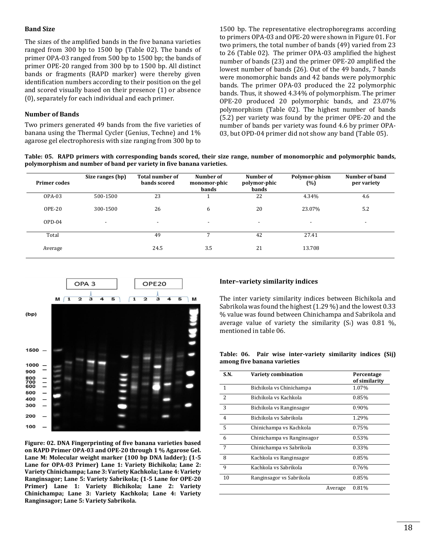## **Band Size**

The sizes of the amplified bands in the five banana varieties ranged from 300 bp to 1500 bp (Table 02). The bands of primer OPA-03 ranged from 500 bp to 1500 bp; the bands of primer OPE-20 ranged from 300 bp to 1500 bp. All distinct bands or fragments (RAPD marker) were thereby given identification numbers according to their position on the gel and scored visually based on their presence (1) or absence (0), separately for each individual and each primer.

## **Number of Bands**

Two primers generated 49 bands from the five varieties of banana using the Thermal Cycler (Genius, Techne) and 1% agarose gel electrophoresis with size ranging from 300 bp to

1500 bp. The representative electrophoregrams according to primers OPA-03 and OPE-20 were shown in Figure 01. For two primers, the total number of bands (49) varied from 23 to 26 (Table 02). The primer OPA-03 amplified the highest number of bands (23) and the primer OPE-20 amplified the lowest number of bands (26). Out of the 49 bands, 7 bands were monomorphic bands and 42 bands were polymorphic bands. The primer OPA-03 produced the 22 polymorphic bands. Thus, it showed 4.34% of polymorphism. The primer OPE-20 produced 20 polymorphic bands, and 23.07% polymorphism (Table 02). The highest number of bands (5.2) per variety was found by the primer OPE-20 and the number of bands per variety was found 4.6 by primer OPA-03, but OPD-04 primer did not show any band (Table 05).

**Table: 05. RAPD primers with corresponding bands scored, their size range, number of monomorphic and polymorphic bands, polymorphism and number of band per variety in five banana varieties.**

| <b>Primer codes</b> | Size ranges (bp)         | <b>Total number of</b><br>bands scored | Number of<br>monomor-phic<br>bands | Number of<br>polymor-phic<br>bands | Polymor-phism<br>(%) | Number of band<br>per variety |
|---------------------|--------------------------|----------------------------------------|------------------------------------|------------------------------------|----------------------|-------------------------------|
| OPA-03              | 500-1500                 | 23                                     |                                    | 22                                 | 4.34%                | 4.6                           |
| <b>OPE-20</b>       | 300-1500                 | 26                                     | 6                                  | 20                                 | 23.07%               | 5.2                           |
| $OPD-04$            | $\overline{\phantom{a}}$ | $\overline{\phantom{a}}$               | $\overline{\phantom{a}}$           | $\overline{\phantom{a}}$           |                      |                               |
| Total               |                          | 49                                     |                                    | 42                                 | 27.41                |                               |
| Average             |                          | 24.5                                   | 3.5                                | 21                                 | 13.708               |                               |



**Figure: 02. DNA Fingerprinting of five banana varieties based on RAPD Primer OPA-03 and OPE-20 through 1 % Agarose Gel. Lane M: Molecular weight marker (100 bp DNA ladder); (1-5 Lane for OPA-03 Primer) Lane 1: Variety Bichikola; Lane 2: Variety Chinichampa; Lane 3: Variety Kachkola; Lane 4: Variety Ranginsagor; Lane 5: Variety Sabrikola; (1-5 Lane for OPE-20 Primer) Lane 1: Variety Bichikola; Lane 2: Variety Chinichampa; Lane 3: Variety Kachkola; Lane 4: Variety Ranginsagor; Lane 5: Variety Sabrikola.**

## **Inter–variety similarity indices**

The inter variety similarity indices between Bichikola and Sabrikola was found the highest (1.29 %) and the lowest 0.33 % value was found between Chinichampa and Sabrikola and average value of variety the similarity  $(S_i)$  was 0.81 %, mentioned in table 06.

**Table: 06. Pair wise inter-variety similarity indices (Sij) among five banana varieties**

| S.N.            | Variety combination        |         | Percentage<br>of similarity |
|-----------------|----------------------------|---------|-----------------------------|
| $\mathbf{1}$    | Bichikola vs Chinichampa   |         | 1.07%                       |
| $\overline{2}$  | Bichikola vs Kachkola      |         | 0.85%                       |
| 3               | Bichikola vs Ranginsagor   |         | 0.90%                       |
| $\overline{4}$  | Bichikola vs Sabrikola     |         | 1.29%                       |
| -5              | Chinichampa vs Kachkola    |         | 0.75%                       |
| 6               | Chinichampa vs Ranginsagor |         | 0.53%                       |
| $7\overline{ }$ | Chinichampa vs Sabrikola   |         | 0.33%                       |
| 8               | Kachkola vs Ranginsagor    |         | 0.85%                       |
| $\mathbf{q}$    | Kachkola vs Sabrikola      |         | 0.76%                       |
| 10              | Ranginsagor vs Sabrikola   |         | 0.85%                       |
|                 |                            | Average | 0.81%                       |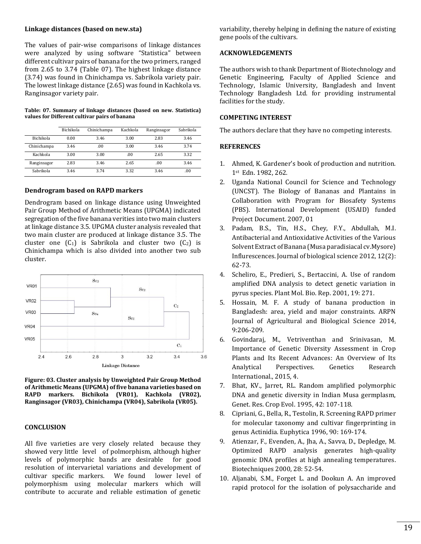## **Linkage distances (based on new.sta)**

The values of pair-wise comparisons of linkage distances were analyzed by using software "Statistica" between different cultivar pairs of banana for the two primers, ranged from 2.65 to 3.74 (Table 07). The highest linkage distance (3.74) was found in Chinichampa vs. Sabrikola variety pair. The lowest linkage distance (2.65) was found in Kachkola vs. Ranginsagor variety pair.

#### **Table: 07. Summary of linkage distances (based on new. Statistica) values for Different cultivar pairs of banana**

|             | Bichikola | Chinichampa | Kachkola | Ranginsagor | Sabrikola |
|-------------|-----------|-------------|----------|-------------|-----------|
| Bichikola   | 0.00      | 3.46        | 3.00     | 2.83        | 3.46      |
| Chinichampa | 3.46      | .00         | 3.00     | 3.46        | 3.74      |
| Kachkola    | 3.00      | 3.00        | .00      | 2.65        | 3.32      |
| Ranginsagor | 2.83      | 3.46        | 2.65     | .00         | 3.46      |
| Sabrikola   | 3.46      | 3.74        | 3.32     | 3.46        | .00.      |

#### **Dendrogram based on RAPD markers**

Dendrogram based on linkage distance using Unweighted Pair Group Method of Arithmetic Means (UPGMA) indicated segregation of the five banana verities into two main clusters at linkage distance 3.5. UPGMA cluster analysis revealed that two main cluster are produced at linkage distance 3.5. The cluster one  $(C_1)$  is Sabrikola and cluster two  $(C_2)$  is Chinichampa which is also divided into another two sub cluster.



**Figure: 03. Cluster analysis by Unweighted Pair Group Method of Arithmetic Means (UPGMA) of five banana varieties based on RAPD markers. Bichikola (VR01), Kachkola (VR02), Ranginsagor (VR03), Chinichampa (VR04), Sabrikola (VR05).**

## **CONCLUSION**

All five varieties are very closely related because they showed very little level of polmorphism, although higher levels of polymorphic bands are desirable for good resolution of intervarietal variations and development of cultivar specific markers. We found lower level of polymorphism using molecular markers which will contribute to accurate and reliable estimation of genetic

variability, thereby helping in defining the nature of existing gene pools of the cultivars.

## **ACKNOWLEDGEMENTS**

The authors wish to thank Department of Biotechnology and Genetic Engineering, Faculty of Applied Science and Technology, Islamic University, Bangladesh and Invent Technology Bangladesh Ltd. for providing instrumental facilities for the study.

## **COMPETING INTEREST**

The authors declare that they have no competing interests.

#### **REFERENCES**

- 1. Ahmed, K. Gardener's book of production and nutrition. 1st Edn. 1982, 262.
- 2. Uganda National Council for Science and Technology (UNCST). The Biology of Bananas and Plantains in Collaboration with Program for Biosafety Systems (PBS). International Development (USAID) funded Project Document. 2007, 01
- 3. Padam, B.S., Tin, H.S., Chey, F.Y., Abdullah, M.I. Antibacterial and Antioxidative Activities of the Various Solvent Extract of Banana (Musa paradisiacal cv.Mysore) Influrescences. Journal of biological science 2012, 12(2): 62-73.
- 4. Scheliro, E., Predieri, S., Bertaccini, A. Use of random amplified DNA analysis to detect genetic variation in pyrus species. Plant Mol. Bio. Rep. 2001, 19: 271.
- 5. Hossain, M. F. A study of banana production in Bangladesh: area, yield and major constraints. ARPN Journal of Agricultural and Biological Science 2014, 9:206-209.
- 6. Govindaraj, M., Vetriventhan and Srinivasan, M. Importance of Genetic Diversity Assessment in Crop Plants and Its Recent Advances: An Overview of Its Analytical Perspectives. Genetics Research International., 2015, 4.
- 7. Bhat, KV., Jarret, RL. Random amplified polymorphic DNA and genetic diversity in Indian Musa germplasm, Genet. Res. Crop Evol. 1995, 42: 107-118.
- 8. Cipriani, G., Bella, R., Testolin, R. Screening RAPD primer for molecular taxonomy and cultivar fingerprinting in genus Actinidia. Euphytica 1996, 90: 169-174.
- 9. Atienzar, F., Evenden, A., Jha, A., Savva, D., Depledge, M. Optimized RAPD analysis generates high-quality genomic DNA profiles at high annealing temperatures. Biotechniques 2000, 28: 52-54.
- 10. Aljanabi, S.M., Forget L. and Dookun A. An improved rapid protocol for the isolation of polysaccharide and